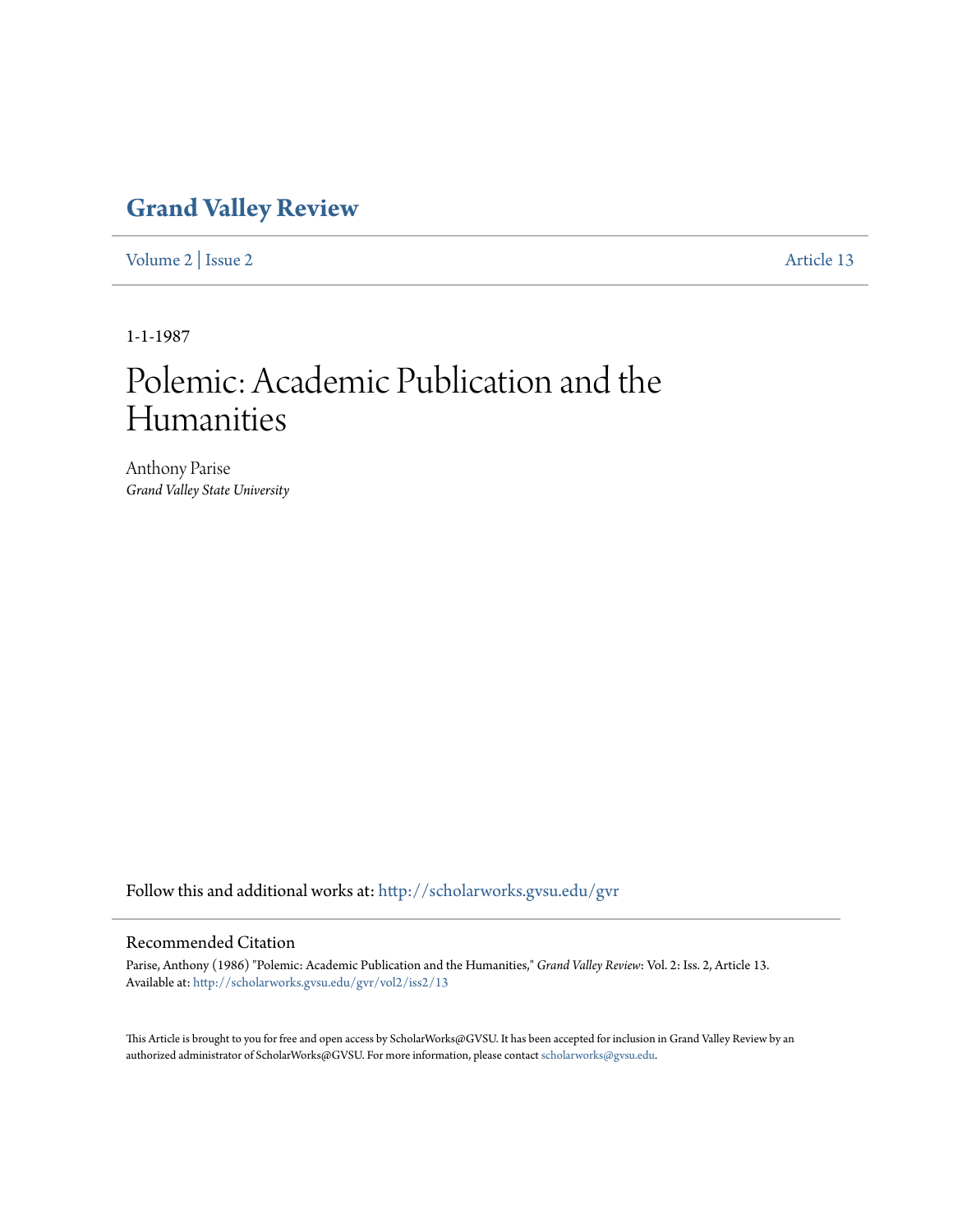## **[Grand Valley Review](http://scholarworks.gvsu.edu/gvr?utm_source=scholarworks.gvsu.edu%2Fgvr%2Fvol2%2Fiss2%2F13&utm_medium=PDF&utm_campaign=PDFCoverPages)**

[Volume 2](http://scholarworks.gvsu.edu/gvr/vol2?utm_source=scholarworks.gvsu.edu%2Fgvr%2Fvol2%2Fiss2%2F13&utm_medium=PDF&utm_campaign=PDFCoverPages) | [Issue 2](http://scholarworks.gvsu.edu/gvr/vol2/iss2?utm_source=scholarworks.gvsu.edu%2Fgvr%2Fvol2%2Fiss2%2F13&utm_medium=PDF&utm_campaign=PDFCoverPages) [Article 13](http://scholarworks.gvsu.edu/gvr/vol2/iss2/13?utm_source=scholarworks.gvsu.edu%2Fgvr%2Fvol2%2Fiss2%2F13&utm_medium=PDF&utm_campaign=PDFCoverPages)

1-1-1987

# Polemic: Academic Publication and the Humanities

Anthony Parise *Grand Valley State University*

Follow this and additional works at: [http://scholarworks.gvsu.edu/gvr](http://scholarworks.gvsu.edu/gvr?utm_source=scholarworks.gvsu.edu%2Fgvr%2Fvol2%2Fiss2%2F13&utm_medium=PDF&utm_campaign=PDFCoverPages)

### Recommended Citation

Parise, Anthony (1986) "Polemic: Academic Publication and the Humanities," *Grand Valley Review*: Vol. 2: Iss. 2, Article 13. Available at: [http://scholarworks.gvsu.edu/gvr/vol2/iss2/13](http://scholarworks.gvsu.edu/gvr/vol2/iss2/13?utm_source=scholarworks.gvsu.edu%2Fgvr%2Fvol2%2Fiss2%2F13&utm_medium=PDF&utm_campaign=PDFCoverPages)

This Article is brought to you for free and open access by ScholarWorks@GVSU. It has been accepted for inclusion in Grand Valley Review by an authorized administrator of ScholarWorks@GVSU. For more information, please contact [scholarworks@gvsu.edu.](mailto:scholarworks@gvsu.edu)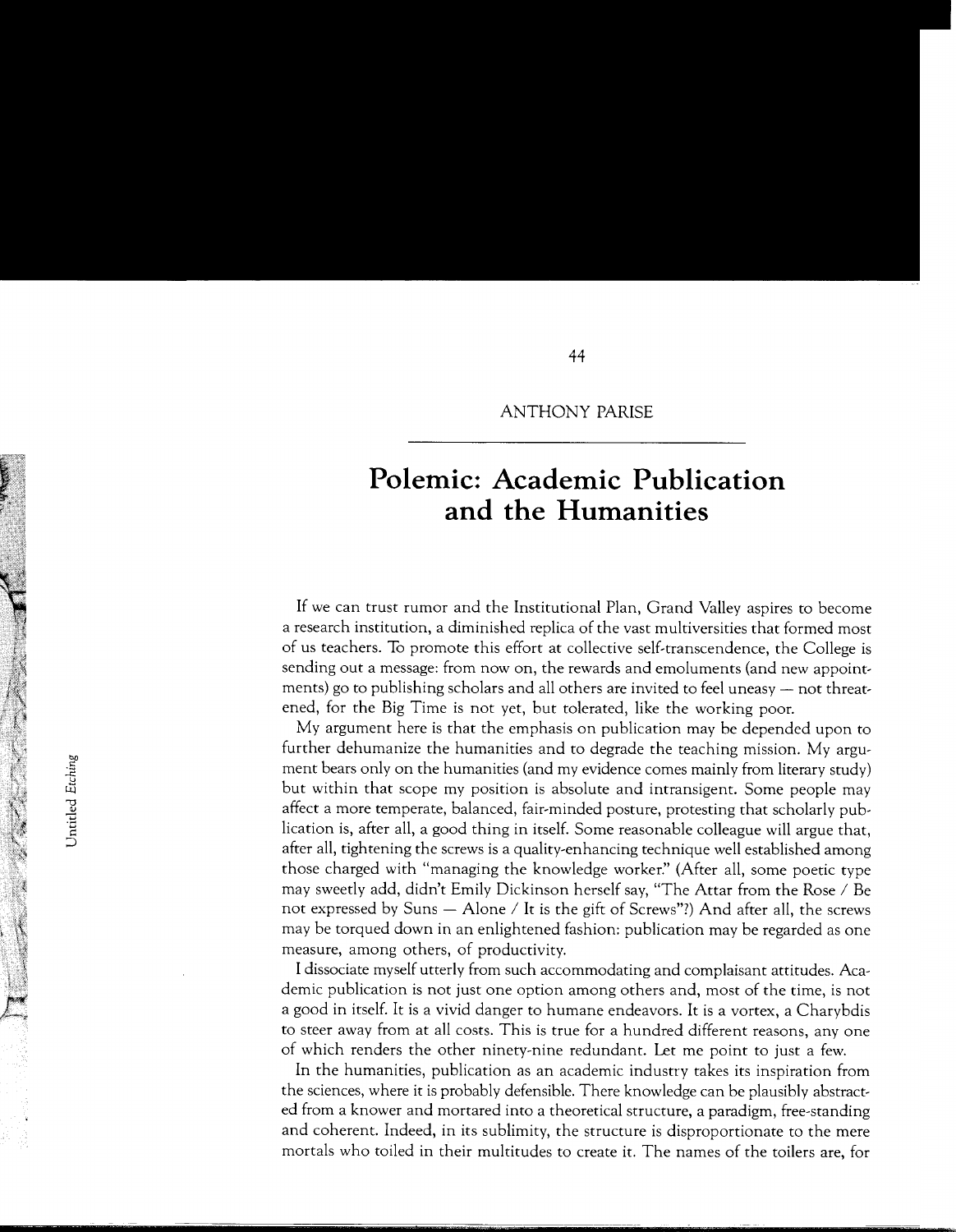#### ANTHONY PARISE

## **Polemic: Academic Publication and the Humanities**

If we can trust rumor and the Institutional Plan, Grand Valley aspires to become a research institution, a diminished replica of the vast multiversities that formed most of us teachers. To promote this effort at collective self-transcendence, the College is sending out a message: from now on, the rewards and emoluments (and new appointments) go to publishing scholars and all others are invited to feel uneasy - not threatened, for the Big Time is not yet, but tolerated, like the working poor.

My argument here is that the emphasis on publication may be depended upon to further dehumanize the humanities and to degrade the teaching mission. My argument bears only on the humanities (and my evidence comes mainly from literary study) but within that scope my position is absolute and intransigent. Some people may affect a more temperate, balanced, fair-minded posture, protesting that scholarly publication is, after all, a good thing in itself. Some reasonable colleague will argue that, after all, tightening the screws is a quality-enhancing technique well established among those charged with "managing the knowledge worker:' (After all, some poetic type may sweetly add, didn't Emily Dickinson herself say, "The Attar from the Rose / Be not expressed by Suns  $-$  Alone / It is the gift of Screws"?) And after all, the screws may be torqued down in an enlightened fashion: publication may be regarded as one measure, among others, of productivity.

I dissociate myself utterly from such accommodating and complaisant attitudes. Academic publication is not just one option among others and, most of the time, is not a good in itself. It is a vivid danger to humane endeavors. It is a vortex, a Charybdis to steer away from at all costs. This is true for a hundred different reasons, any one of which renders the other ninety-nine redundant. Let me point to just a few.

In the humanities, publication as an academic industry takes its inspiration from the sciences, where it is probably defensible. There knowledge can be plausibly abstracted from a knower and mortared into a theoretical structure, a paradigm, free-standing and coherent. Indeed, in its sublimity, the structure is disproportionate to the mere mortals who toiled in their multitudes to create it. The names of the toilers are, for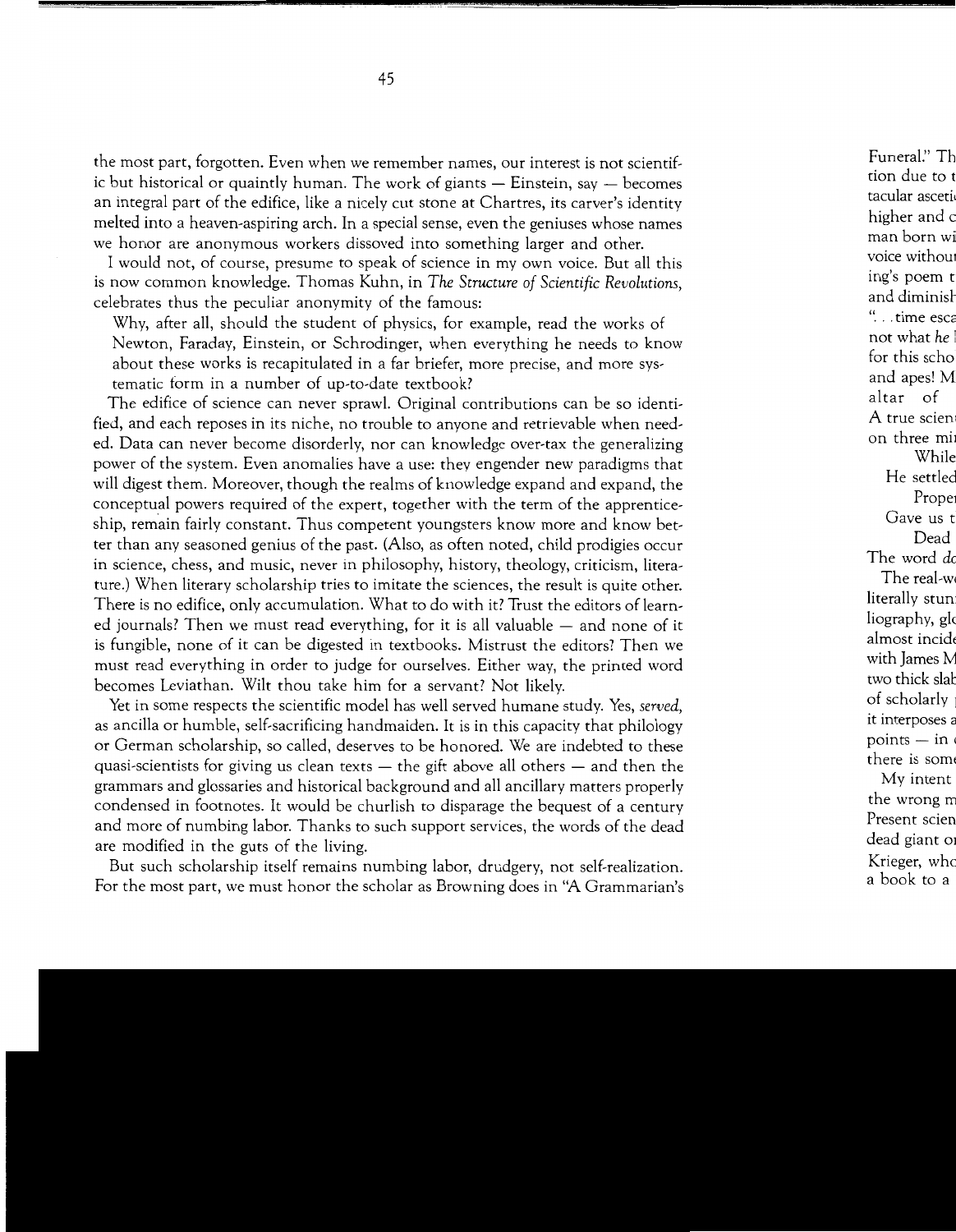the most part, forgotten. Even when we remember names, our interest is not scientific but historical or quaintly human. The work of giants  $-$  Einstein, say  $-$  becomes an integral part of the edifice, like a nicely cut stone at Chartres, its carver's identity melted into a heaven-aspiring arch. In a special sense, even the geniuses whose names we honor are anonymous workers dissoved into something larger and other.

I would not, of course, presume to speak of science in my own voice. But all this is now common knowledge. Thomas Kuhn, in *The Structure of Scientific Revolutions,*  celebrates thus the peculiar anonymity of the famous:

Why, after all, should the student of physics, for example, read the works of Newton, Faraday, Einstein, or Schrodinger, when everything he needs to know about these works is recapitulated in a far briefer, more precise, and more systematic form in a number of up-to-date textbook?

The edifice of science can never sprawl. Original contributions can be so identified, and each reposes in its niche, no trouble to anyone and retrievable when needed. Data can never become disorderly, nor can knowledge over-tax the generalizing power of the system. Even anomalies have a use: they engender new paradigms that will digest them. Moreover, though the realms of knowledge expand and expand, the conceptual powers required of the expert, together with the term of the apprenticeship, remain fairly constant. Thus competent youngsters know more and know better than any seasoned genius of the past. (Also, as often noted, child prodigies occur in science, chess, and music, never in philosophy, history, theology, criticism, literature.) When literary scholarship tries to imitate the sciences, the result is quite other. There is no edifice, only accumulation. What to do with it? Trust the editors of learned journals? Then we must read everything, for it is all valuable  $-$  and none of it is fungible, none of it can be digested in textbooks. Mistrust the editors? Then we must read everything in order to judge for ourselves. Either way, the printed word becomes Leviathan. Wilt thou take him for a servant? Not likely.

Yet in some respects the scientific model has well served humane study. Yes, *served,*  as ancilla or humble, self-sacrificing handmaiden. It is in this capacity that philology or German scholarship, so called, deserves to be honored. We are indebted to these quasi-scientists for giving us clean texts  $-$  the gift above all others  $-$  and then the grammars and glossaries and historical background and all ancillary matters properly condensed in footnotes. It would be churlish to disparage the bequest of a century and more of numbing labor. Thanks to such support services, the words of the dead are modified in the guts of the living.

But such scholarship itself remains numbing labor, drudgery, not self-realization. For the most part, we must honor the scholar as Browning does in "A Grammarian's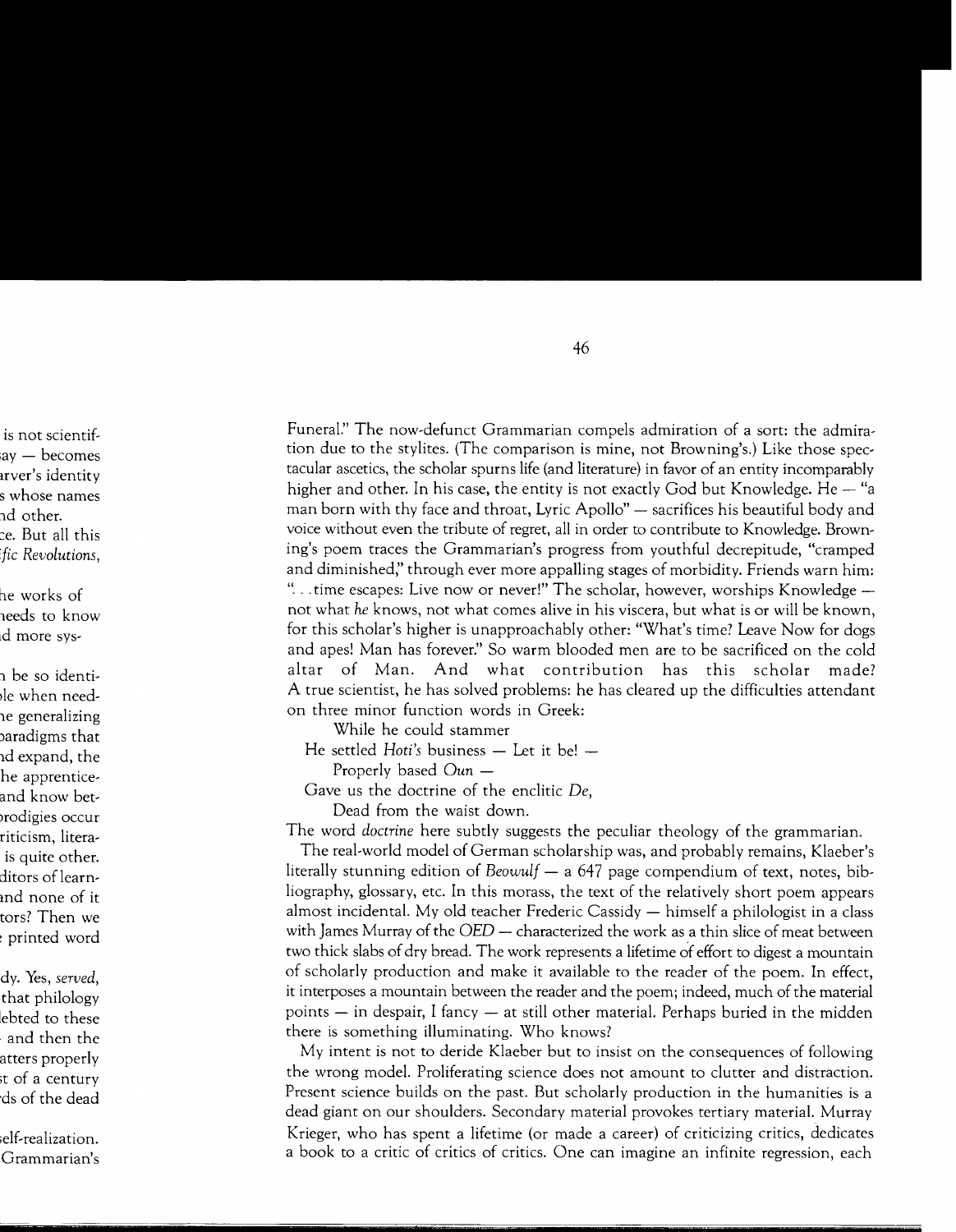Funeral." The now-defunct Grammarian compels admiration of a sort: the admiration due to the stylites. (The comparison is mine, not Browning's.) Like those spectacular ascetics, the scholar spurns life (and literature) in favor of an entity incomparably higher and other. In his case, the entity is not exactly God but Knowledge. He  $-$  "a man born with thy face and throat, Lyric Apollo"  $-$  sacrifices his beautiful body and voice without even the tribute of regret, all in order to contribute to Knowledge. Browning's poem traces the Grammarian's progress from youthful decrepitude, "cramped and diminished;' through ever more appalling stages of morbidity. Friends warn him: "... time escapes: Live now or never!" The scholar, however, worships Knowledge not what *he* knows, not what comes alive in his viscera, but what is or will be known, for this scholar's higher is unapproachably other: "What's time? Leave Now for dogs and apes! Man has forever:' So warm blooded men are to be sacrificed on the cold altar of Man. And what contribution has this scholar made? A true scientist, he has solved problems: he has cleared up the difficulties attendant on three minor function words in Greek:

While he could stammer

He settled *Hoti's* business – Let it be! –

Properly based Oun —

Gave us the doctrine of the enclitic *De,* 

Dead from the waist down.

The word *doctrine* here subtly suggests the peculiar theology of the grammarian.

The real-world model of German scholarship was, and probably remains, Klaeber's literally stunning edition of *Beowulf* — a 647 page compendium of text, notes, bibliography, glossary, etc. In this morass, the text of the relatively short poem appears almost incidental. My old teacher Frederic Cassidy  $-$  himself a philologist in a class with James Murray of the  $OED$  - characterized the work as a thin slice of meat between two thick slabs of dry bread. The work represents a lifetime of effort to digest a mountain of scholarly production and make it available to the reader of the poem. In effect, it interposes a mountain between the reader and the poem; indeed, much of the material points - in despair, I fancy - at still other material. Perhaps buried in the midden there is something illuminating. Who knows?

My intent is not to deride Klaeber but to insist on the consequences of following the wrong model. Proliferating science does not amount to clutter and distraction. Present science builds on the past. But scholarly production in the humanities is a dead giant on our shoulders. Secondary material provokes tertiary material. Murray Krieger, who has spent a lifetime (or made a career) of criticizing critics, dedicates a book to a critic of critics of critics. One can imagine an infinite regression, each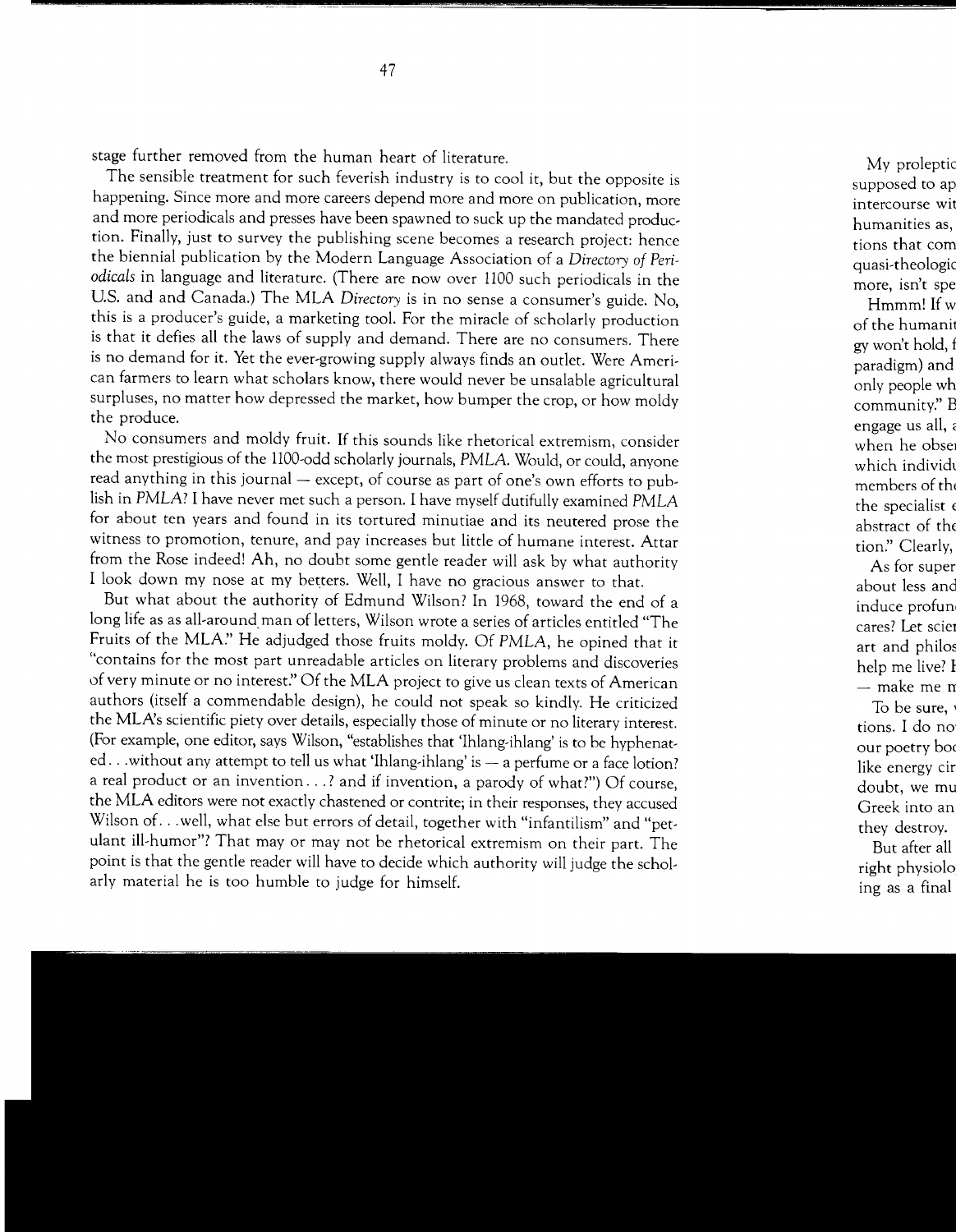stage further removed from the human heart of literature.

The sensible treatment for such feverish industry is to cool it, but the opposite is happening. Since more and more careers depend more and more on publication, more and more periodicals and presses have been spawned to suck up the mandated production. Finally, just to survey the publishing scene becomes a research project: hence the biennial publication by the Modern Language Association of a *Directory of Periodicals* in language and literature. (There are now over 1100 such periodicals in the U.S. and and Canada.) The MLA *Directory* is in no sense a consumer's guide. No, this is a producer's guide, a marketing tool. For the miracle of scholarly production is that it defies all the laws of supply and demand. There are no consumers. There is no demand for it. Yet the ever-growing supply always finds an outlet. Were American farmers to learn what scholars know, there would never be unsalable agricultural surpluses, no matter how depressed the market, how bumper the crop, or how moldy the produce.

No consumers and moldy fruit. If this sounds like rhetorical extremism, consider the most prestigious of the 1100-odd scholarly journals, PMLA. Would, or could, anyone read anything in this journal - except, of course as part of one's own efforts to publish in PMLA? I have never met such a person. I have myself dutifully examined PMLA for about ten years and found in its tortured minutiae and its neutered prose the witness to promotion, tenure, and pay increases but little of humane interest. Attar from the Rose indeed! Ah, no doubt some gentle reader will ask by what authority I look down my nose at my betters. Well, I have no gracious answer to that.

But what about the authority of Edmund Wilson? In 1968, toward the end of a long life as as all-around man of letters, Wilson wrote a series of articles entitled "The Fruits of the MLA:' He adjudged those fruits moldy. Of PMLA, he opined that it "contains for the most part unreadable articles on literary problems and discoveries of very minute or no interest:' Of the MLA project to give us clean texts of American authors (itself a commendable design), he could not speak so kindly. He criticized the MLA's scientific piety over details, especially those of minute or no literary interest. (For example, one editor, says Wilson, "establishes that 'Ihlang-ihlang' is to be hyphenated... without any attempt to tell us what 'Ihlang-ihlang' is - a perfume or a face lotion? a real product or an invention...? and if invention, a parody of what?") Of course, the MLA editors were not exactly chastened or contrite; in their responses, they accused Wilson of ... well, what else but errors of detail, together with "infantilism" and "petulant ill-humor"? That may or may not be rhetorical extremism on their part. The point is that the gentle reader will have to decide which authority will judge the scholarly material he is too humble to judge for himself.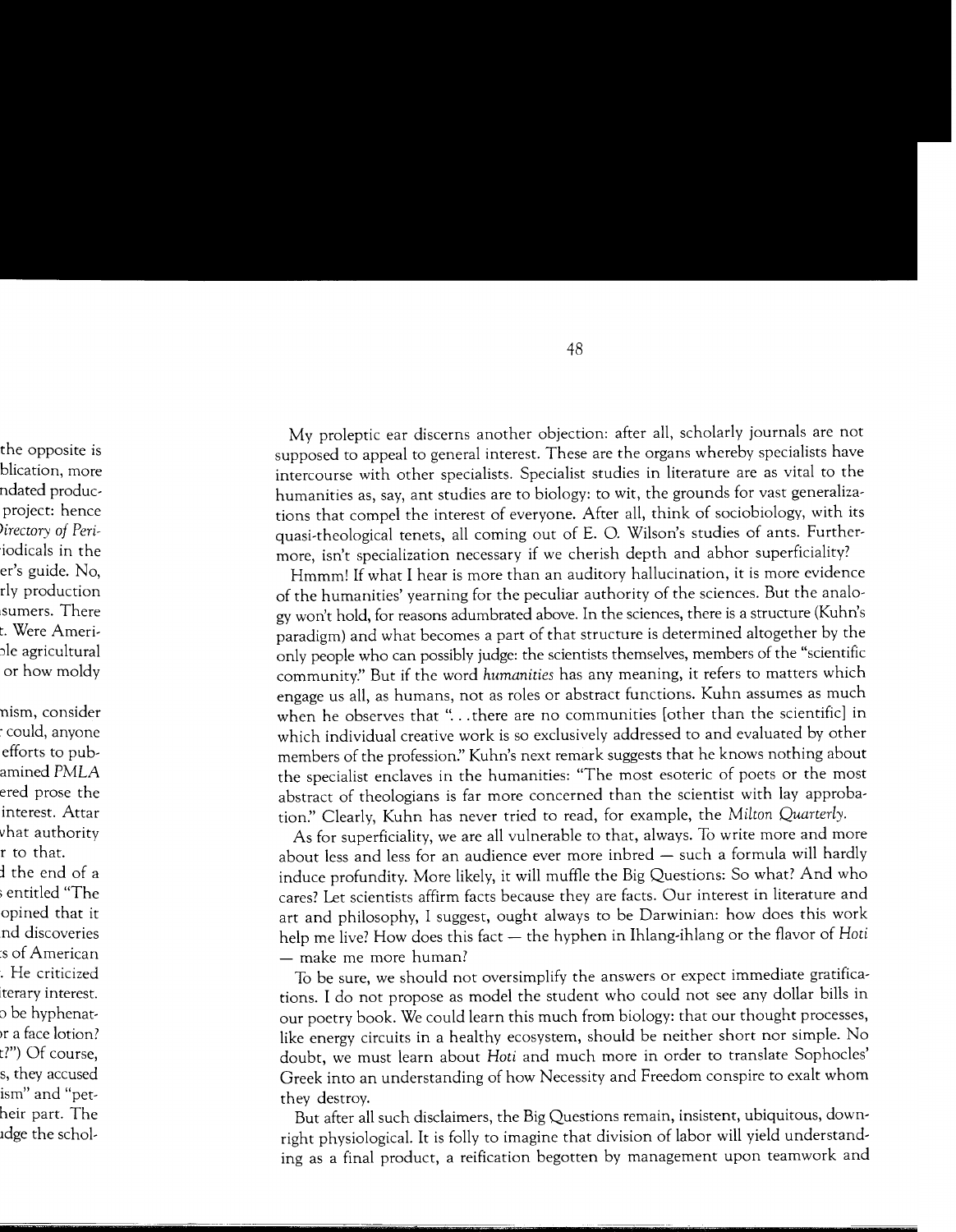My proleptic ear discerns another objection: after all, scholarly journals are not supposed to appeal to general interest. These are the organs whereby specialists have intercourse with other specialists. Specialist studies in literature are as vital to the humanities as, say, ant studies are to biology: to wit, the grounds for vast generalizations that compel the interest of everyone. After all, think of sociobiology, with its quasi-theological tenets, all coming out of E. 0. Wilson's studies of ants. Furthermore, isn't specialization necessary if we cherish depth and abhor superficiality?

Hmmm! If what I hear is more than an auditory hallucination, it is more evidence of the humanities' yearning for the peculiar authority of the sciences. But the analogy won't hold, for reasons adumbrated above. In the sciences, there is a structure (Kuhn's paradigm) and what becomes a part of that structure is determined altogether by the only people who can possibly judge: the scientists themselves, members of the "scientific community:' But if the word *humanities* has any meaning, it refers to matters which engage us all, as humans, not as roles or abstract functions. Kuhn assumes as much when he observes that "... there are no communities [other than the scientific] in which individual creative work is so exclusively addressed to and evaluated by other members of the profession:' Kuhn's next remark suggests that he knows nothing about the specialist enclaves in the humanities: "The most esoteric of poets or the most abstract of theologians is far more concerned than the scientist with lay approbation." Clearly, Kuhn has never tried to read, for example, the *Milton Quarterly.* 

As for superficiality, we are all vulnerable to that, always. To write more and more about less and less for an audience ever more inbred - such a formula will hardly induce profundity. More likely, it will muffle the Big Questions: So what? And who cares? Let scientists affirm facts because they are facts. Our interest in literature and art and philosophy, I suggest, ought always to be Darwinian: how does this work help me live? How does this fact - the hyphen in Ihlang-ihlang or the flavor of *Hoti*  $-$  make me more human?

To be sure, we should not oversimplify the answers or expect immediate gratifications. I do not propose as model the student who could not see any dollar bills in our poetry book. We could learn this much from biology: that our thought processes, like energy circuits in a healthy ecosystem, should be neither short nor simple. No doubt, we must learn about *Hoti* and much more in order to translate Sophocles' Greek into an understanding of how Necessity and Freedom conspire to exalt whom they destroy.

But after all such disclaimers, the Big Questions remain, insistent, ubiquitous, downright physiological. It is folly to imagine that division of labor will yield understanding as a final product, a reification begotten by management upon teamwork and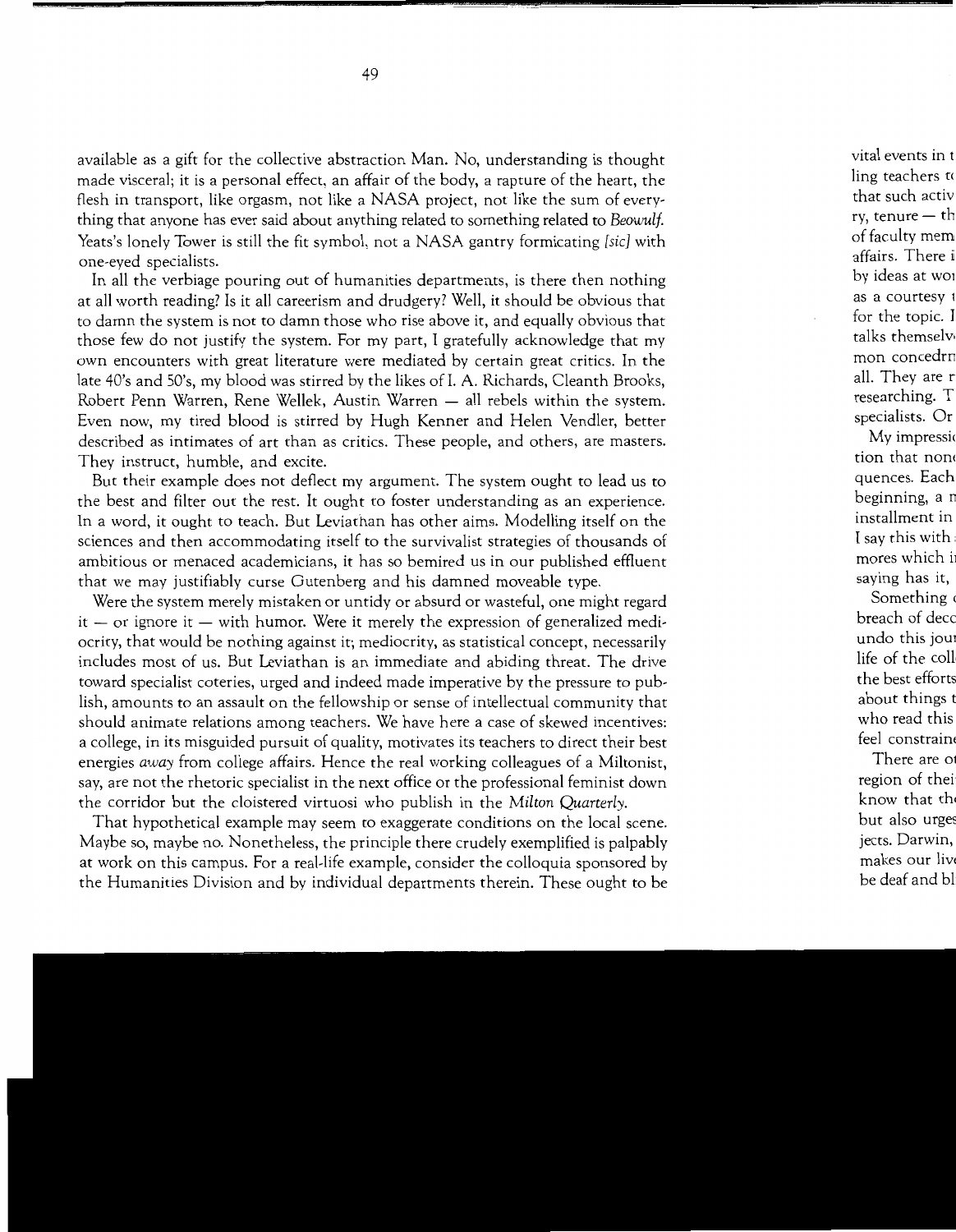available as a gift for the collective abstraction Man. No, understanding is thought made visceral; it is a personal effect, an affair of the body, a rapture of the heart, the flesh in transport, like orgasm, not like a NASA project, not like the sum of everything that anyone has ever said about anything related to something related to *Beowulf*  Yeats's lonely Tower is still the fit symbol, not a NASA gantry formicating *[sic]* with one-eyed specialists.

In all the verbiage pouring out of humanities departments, is there then nothing at all worth reading? Is it all careerism and drudgery? Well, it should be obvious that to damn the system is not to damn those who rise above it, and equally obvious that those few do not justify the system. For my part, I gratefully acknowledge that my own encounters with great literature were mediated by certain great critics. In the late 40's and SO's, my blood was stirred by the likes of I. A. Richards, Cleanth Brooks, Robert Penn Warren, Rene Wellek, Austin Warren - all rebels within the system. Even now, my tired blood is stirred by Hugh Kenner and Helen Vendler, better described as intimates of art than as critics. These people, and others, are masters. They instruct, humble, and excite.

But their example does not deflect my argument. The system ought to lead us to the best and filter out the rest. It ought to foster understanding as an experience. In a word, it ought to teach. But Leviathan has other aims. Modelling itself on the sciences and then accommodating itself to the survivalist strategies of thousands of ambitious or menaced academicians, it has so bemired us in our published effluent that we may justifiably curse Gutenberg and his damned moveable type.

Were the system merely mistaken or untidy or absurd or wasteful, one might regard  $it - or ignore it - with humor.$  Were it merely the expression of generalized mediocrity, that would be nothing against it; mediocrity, as statistical concept, necessarily includes most of us. But Leviathan is an immediate and abiding threat. The drive toward specialist coteries, urged and indeed made imperative by the pressure to publish, amounts to an assault on the fellowship or sense of intellectual community that should animate relations among teachers. We have here a case of skewed incentives: a college, in its misguided pursuit of quality, motivates its teachers to direct their best energies *away* from college affairs. Hence the real working colleagues of a Miltonist, say, are not the rhetoric specialist in the next office or the professional feminist down the corridor but the cloistered virtuosi who publish in the *Milton Quarterly.* 

That hypothetical example may seem to exaggerate conditions on the local scene. Maybe so, maybe no. Nonetheless, the principle there crudely exemplified is palpably at work on this campus. For a real-life example, consider the colloquia sponsored by the Humanities Division and by individual departments therein. These ought to be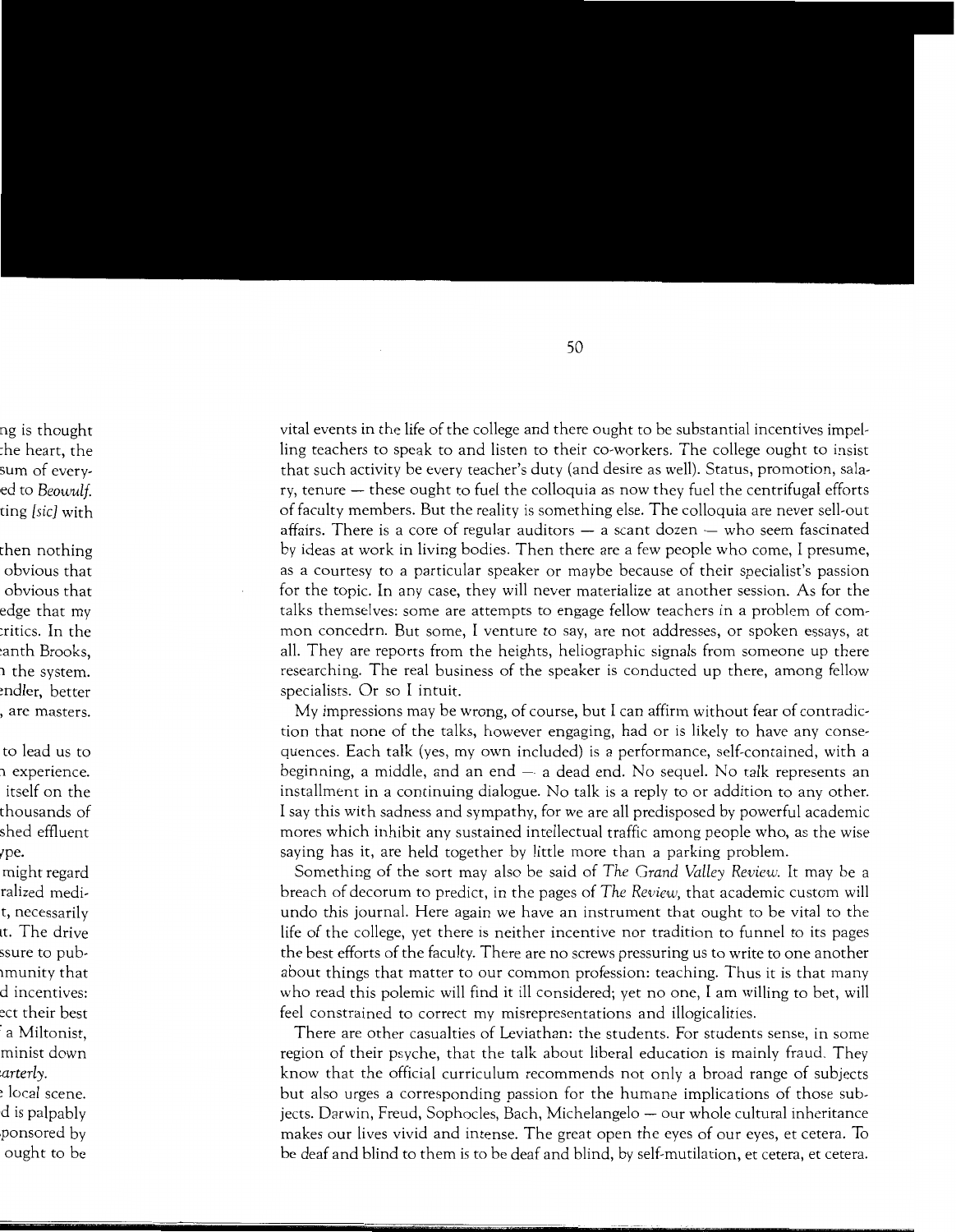vital events in the life of the college and there ought to be substantial incentives impelling teachers to speak to and listen to their co-workers. The college ought to insist that such activity be every teacher's duty (and desire as well). Status, promotion, salary, tenure – these ought to fuel the colloquia as now they fuel the centrifugal efforts of faculty members. But the reality is something else. The colloquia are never sell-out affairs. There is a core of regular auditors  $-$  a scant dozen  $-$  who seem fascinated by ideas at work in living bodies. Then there are a few people who come, I presume, as a courtesy to a particular speaker or maybe because of their specialist's passion for the topic. In any case, they will never materialize at another session. As for the talks themselves: some are attempts to engage fellow teachers in a problem of common concedrn. But some, I venture to say, are not addresses, or spoken essays, at all. They are reports from the heights, heliographic signals from someone up there researching. The real business of the speaker is conducted up there, among fellow specialists. Or so I intuit.

My impressions may be wrong, of course, but I can affirm without fear of contradiction that none of the talks, however engaging, had or is likely to have any consequences. Each talk (yes, my own included) is a performance, self-contained, with a beginning, a middle, and an end  $-$  a dead end. No sequel. No talk represents an installment in a continuing dialogue. No talk is a reply to or addition to any other. I say this with sadness and sympathy, for we are all predisposed by powerful academic mores which inhibit any sustained intellectual traffic among people who, as the wise saying has it, are held together by little more than a parking problem.

Something of the sort may also be said of *The Grand Valley Review.* It may be a breach of decorum to predict, in the pages of *The Review,* that academic custom will undo this journal. Here again we have an instrument that ought to be vital to the life of the college, yet there is neither incentive nor tradition to funnel to its pages the best efforts of the faculty. There are no screws pressuring us to write to one another about things that matter to our common profession: teaching. Thus it is that many who read this polemic will find it ill considered; yet no one, I am willing to bet, will feel constrained to correct my misrepresentations and illogicalities.

There are other casualties of Leviathan: the students. For students sense, in some region of their psyche, that the talk about liberal education is mainly fraud. They know that the official curriculum recommends not only a broad range of subjects but also urges a corresponding passion for the humane implications of those subjects. Darwin, Freud, Sophocles, Bach, Michelangelo — our whole cultural inheritance makes our lives vivid and intense. The great open the eyes of our eyes, et cetera. To be deaf and blind to them is to be deaf and blind, by self-mutilation, et cetera, et cetera.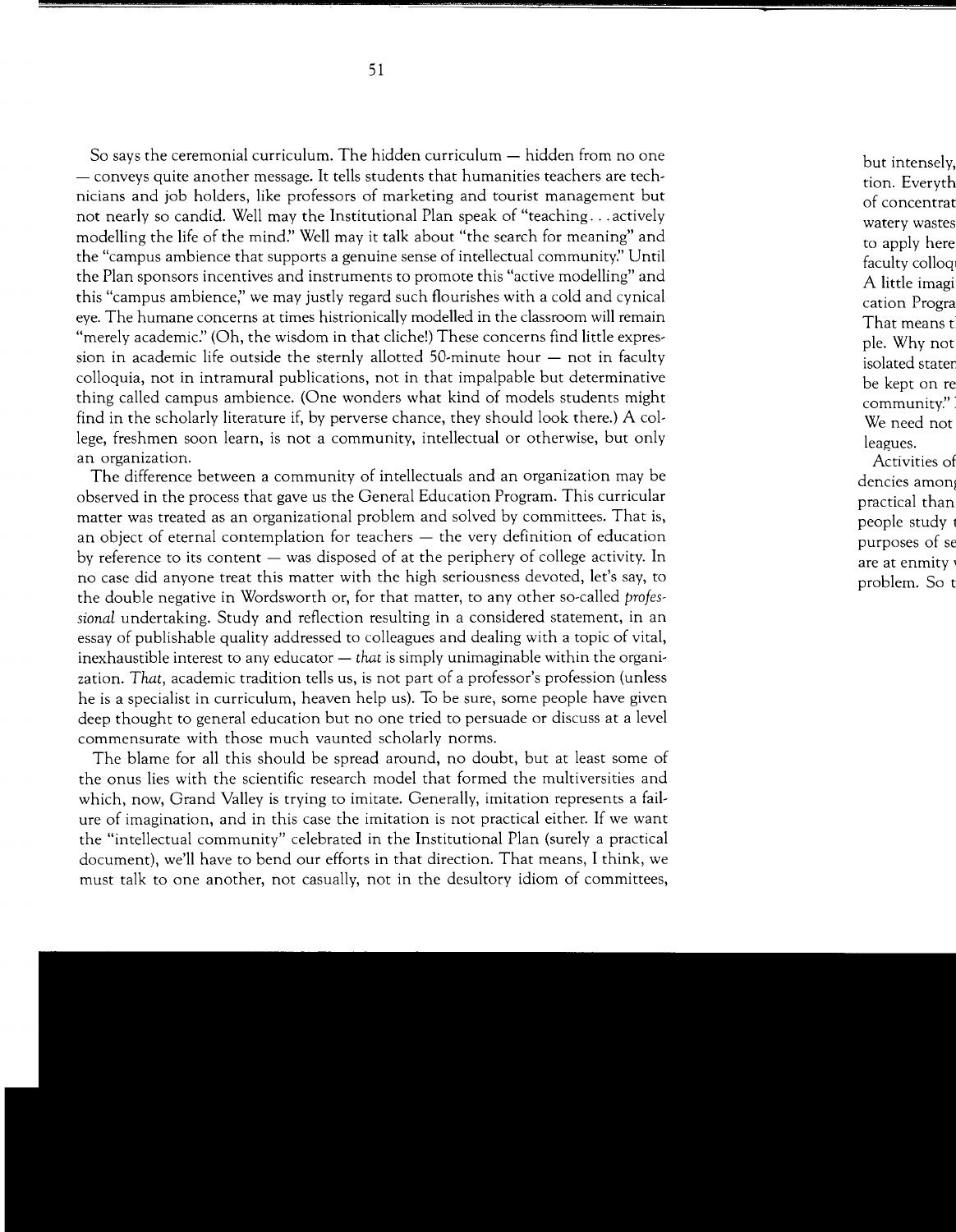So says the ceremonial curriculum. The hidden curriculum  $-$  hidden from no one - conveys quite another message. It tells students that humanities teachers are technicians and job holders, like professors of marketing and tourist management but not nearly so candid. Well may the Institutional Plan speak of "teaching ... actively modelling the life of the mind:' Well may it talk about "the search for meaning" and the "campus ambience that supports a genuine sense of intellectual community:' Until the Plan sponsors incentives and instruments to promote this "active modelling" and this "campus ambience;' we may justly regard such flourishes with a cold and cynical eye. The humane concerns at times histrionically modelled in the classroom will remain "merely academic:' (Oh, the wisdom in that cliche!) These concerns find little expression in academic life outside the sternly allotted 50-minute hour  $-$  not in faculty colloquia, not in intramural publications, not in that impalpable but determinative thing called campus ambience. (One wonders what kind of models students might find in the scholarly literature if, by perverse chance, they should look there.) A college, freshmen soon learn, is not a community, intellectual or otherwise, but only an organization.

The difference between a community of intellectuals and an organization may be observed in the process that gave us the General Education Program. This curricular matter was treated as an organizational problem and solved by committees. That is, an object of eternal contemplation for teachers  $-$  the very definition of education by reference to its content  $-$  was disposed of at the periphery of college activity. In no case did anyone treat this matter with the high seriousness devoted, let's say, to the double negative in Wordsworth or, for that matter, to any other so-called *professional* undertaking. Study and reflection resulting in a considered statement, in an essay of publishable quality addressed to colleagues and dealing with a topic of vital, inexhaustible interest to any educator - *that* is simply unimaginable within the organization. *That,* academic tradition tells us, is not part of a professor's profession (unless he is a specialist in curriculum, heaven help us). To be sure, some people have given deep thought to general education but no one tried to persuade or discuss at a level commensurate with those much vaunted scholarly norms.

The blame for all this should be spread around, no doubt, but at least some of the onus lies with the scientific research model that formed the multiversities and which, now, Grand Valley is trying to imitate. Generally, imitation represents a failure of imagination, and in this case the imitation is not practical either. If we want the "intellectual community" celebrated in the Institutional Plan (surely a practical document), we'll have to bend our efforts in that direction. That means, I think, we must talk to one another, not casually, not in the desultory idiom of committees,